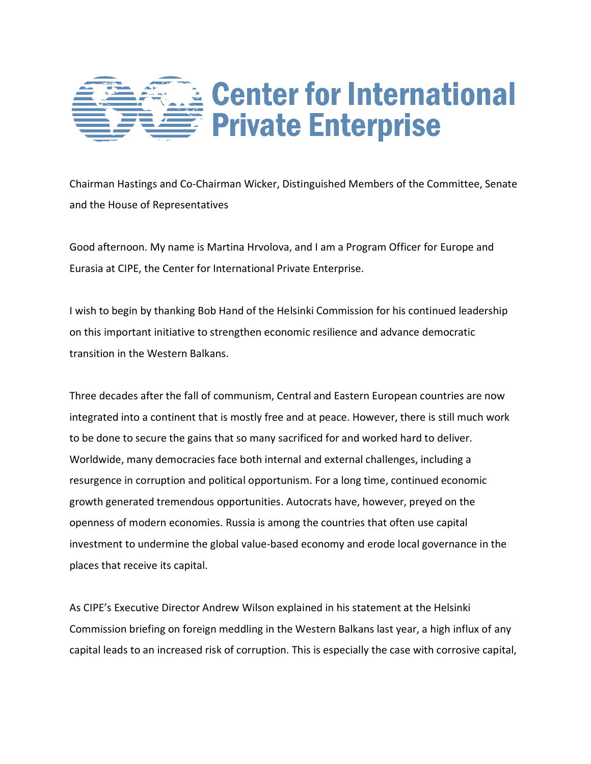

Chairman Hastings and Co-Chairman Wicker, Distinguished Members of the Committee, Senate and the House of Representatives

Good afternoon. My name is Martina Hrvolova, and I am a Program Officer for Europe and Eurasia at CIPE, the Center for International Private Enterprise.

I wish to begin by thanking Bob Hand of the Helsinki Commission for his continued leadership on this important initiative to strengthen economic resilience and advance democratic transition in the Western Balkans.

Three decades after the fall of communism, Central and Eastern European countries are now integrated into a continent that is mostly free and at peace. However, there is still much work to be done to secure the gains that so many sacrificed for and worked hard to deliver. Worldwide, many democracies face both internal and external challenges, including a resurgence in corruption and political opportunism. For a long time, continued economic growth generated tremendous opportunities. Autocrats have, however, preyed on the openness of modern economies. Russia is among the countries that often use capital investment to undermine the global value-based economy and erode local governance in the places that receive its capital.

As CIPE's Executive Director Andrew Wilson explained in his statement at the Helsinki Commission briefing on foreign meddling in the Western Balkans last year, a high influx of any capital leads to an increased risk of corruption. This is especially the case with corrosive capital,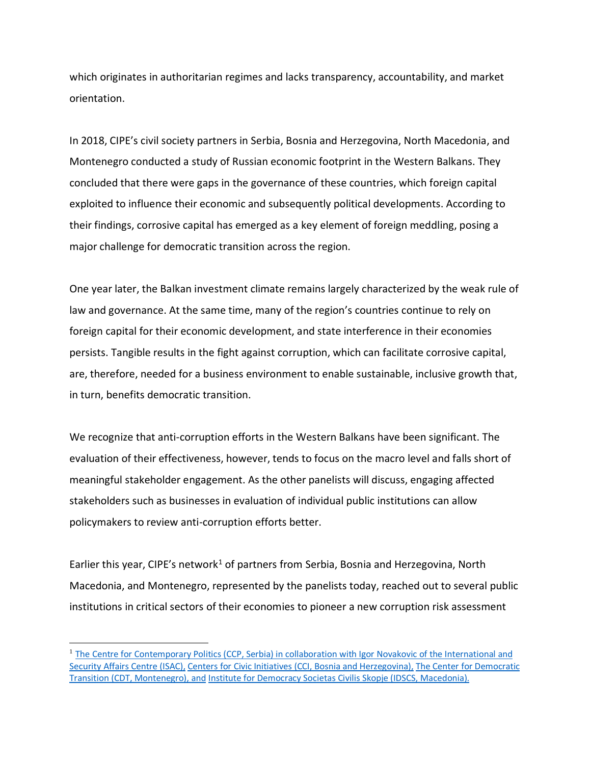which originates in authoritarian regimes and lacks transparency, accountability, and market orientation.

In 2018, CIPE's civil society partners in Serbia, Bosnia and Herzegovina, North Macedonia, and Montenegro conducted a study of Russian economic footprint in the Western Balkans. They concluded that there were gaps in the governance of these countries, which foreign capital exploited to influence their economic and subsequently political developments. According to their findings, corrosive capital has emerged as a key element of foreign meddling, posing a major challenge for democratic transition across the region.

One year later, the Balkan investment climate remains largely characterized by the weak rule of law and governance. At the same time, many of the region's countries continue to rely on foreign capital for their economic development, and state interference in their economies persists. Tangible results in the fight against corruption, which can facilitate corrosive capital, are, therefore, needed for a business environment to enable sustainable, inclusive growth that, in turn, benefits democratic transition.

We recognize that anti-corruption efforts in the Western Balkans have been significant. The evaluation of their effectiveness, however, tends to focus on the macro level and falls short of meaningful stakeholder engagement. As the other panelists will discuss, engaging affected stakeholders such as businesses in evaluation of individual public institutions can allow policymakers to review anti-corruption efforts better.

Earlier this year, CIPE's network<sup>1</sup> of partners from Serbia, Bosnia and Herzegovina, North Macedonia, and Montenegro, represented by the panelists today, reached out to several public institutions in critical sectors of their economies to pioneer a new corruption risk assessment

 $\overline{a}$ 

<sup>&</sup>lt;sup>1</sup> The Centre for [Contemporary](https://centarsavremenepolitike.rs/about-us/) Politics (CCP, Serbia) in collaboration with Igor Novakovic of the International and Security Affairs Centre (ISAC), Centers for Civic Initiatives (CCI, Bosnia and [Herzegovina\),](http://cci.ba/pages/2/24/5.html) The Center for [Democratic](http://www.en.cdtmn.org/) Transition (CDT, [Montenegro\),](http://www.en.cdtmn.org/) and Institute for Democracy Societas Civilis Skopje (IDSCS, [Macedonia\).](https://idscs.org.mk/en/tag/institute-for-democracy-societas-civilis/)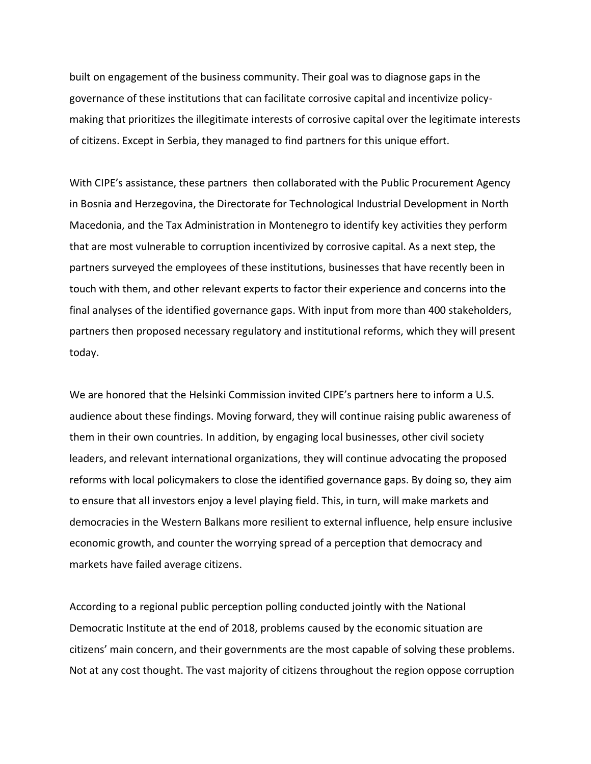built on engagement of the business community. Their goal was to diagnose gaps in the governance of these institutions that can facilitate corrosive capital and incentivize policymaking that prioritizes the illegitimate interests of corrosive capital over the legitimate interests of citizens. Except in Serbia, they managed to find partners for this unique effort.

With CIPE's assistance, these partners then collaborated with the Public Procurement Agency in Bosnia and Herzegovina, the Directorate for Technological Industrial Development in North Macedonia, and the Tax Administration in Montenegro to identify key activities they perform that are most vulnerable to corruption incentivized by corrosive capital. As a next step, the partners surveyed the employees of these institutions, businesses that have recently been in touch with them, and other relevant experts to factor their experience and concerns into the final analyses of the identified governance gaps. With input from more than 400 stakeholders, partners then proposed necessary regulatory and institutional reforms, which they will present today.

We are honored that the Helsinki Commission invited CIPE's partners here to inform a U.S. audience about these findings. Moving forward, they will continue raising public awareness of them in their own countries. In addition, by engaging local businesses, other civil society leaders, and relevant international organizations, they will continue advocating the proposed reforms with local policymakers to close the identified governance gaps. By doing so, they aim to ensure that all investors enjoy a level playing field. This, in turn, will make markets and democracies in the Western Balkans more resilient to external influence, help ensure inclusive economic growth, and counter the worrying spread of a perception that democracy and markets have failed average citizens.

According to a regional public perception polling conducted jointly with the National Democratic Institute at the end of 2018, problems caused by the economic situation are citizens' main concern, and their governments are the most capable of solving these problems. Not at any cost thought. The vast majority of citizens throughout the region oppose corruption